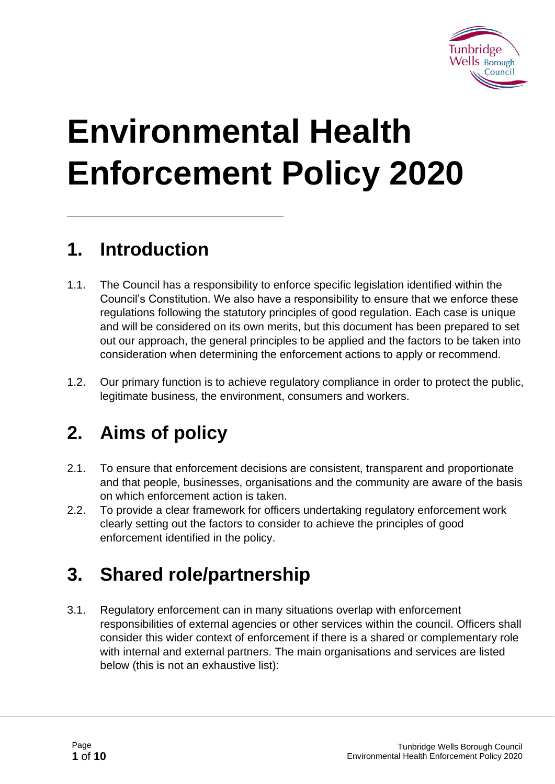

# **Environmental Health Enforcement Policy 2020**

### **1. Introduction**

- 1.1. The Council has a responsibility to enforce specific legislation identified within the Council's Constitution. We also have a responsibility to ensure that we enforce these regulations following the statutory principles of good regulation. Each case is unique and will be considered on its own merits, but this document has been prepared to set out our approach, the general principles to be applied and the factors to be taken into consideration when determining the enforcement actions to apply or recommend.
- 1.2. Our primary function is to achieve regulatory compliance in order to protect the public, legitimate business, the environment, consumers and workers.

### **2. Aims of policy**

- 2.1. To ensure that enforcement decisions are consistent, transparent and proportionate and that people, businesses, organisations and the community are aware of the basis on which enforcement action is taken.
- 2.2. To provide a clear framework for officers undertaking regulatory enforcement work clearly setting out the factors to consider to achieve the principles of good enforcement identified in the policy.

## **3. Shared role/partnership**

3.1. Regulatory enforcement can in many situations overlap with enforcement responsibilities of external agencies or other services within the council. Officers shall consider this wider context of enforcement if there is a shared or complementary role with internal and external partners. The main organisations and services are listed below (this is not an exhaustive list):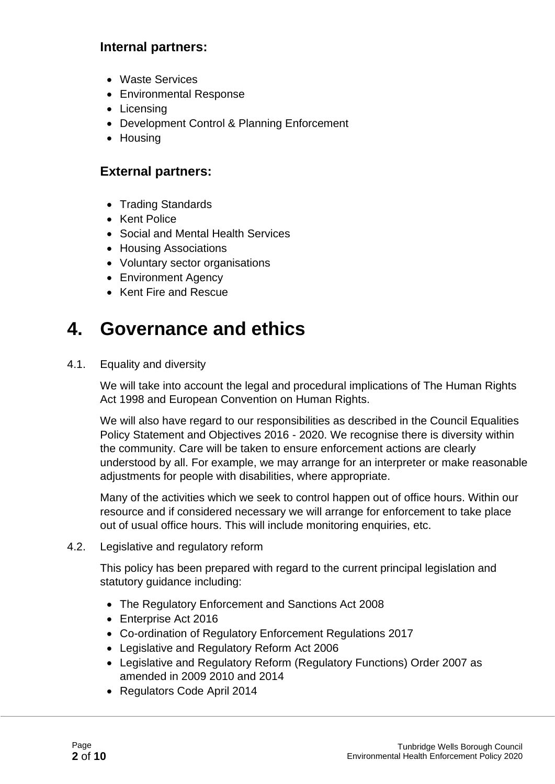#### **Internal partners:**

- Waste Services
- Environmental Response
- Licensing
- Development Control & Planning Enforcement
- Housing

#### **External partners:**

- Trading Standards
- Kent Police
- Social and Mental Health Services
- Housing Associations
- Voluntary sector organisations
- Environment Agency
- Kent Fire and Rescue

### **4. Governance and ethics**

4.1. Equality and diversity

We will take into account the legal and procedural implications of The Human Rights Act 1998 and European Convention on Human Rights.

We will also have regard to our responsibilities as described in the Council Equalities Policy Statement and Objectives 2016 - 2020. We recognise there is diversity within the community. Care will be taken to ensure enforcement actions are clearly understood by all. For example, we may arrange for an interpreter or make reasonable adjustments for people with disabilities, where appropriate.

Many of the activities which we seek to control happen out of office hours. Within our resource and if considered necessary we will arrange for enforcement to take place out of usual office hours. This will include monitoring enquiries, etc.

4.2. Legislative and regulatory reform

This policy has been prepared with regard to the current principal legislation and statutory guidance including:

- [The Regulatory Enforcement and Sanctions Act 2008](http://www.opsi.gov.uk/acts/acts2008/pdf/ukpga_20080013_en.pdf)
- Enterprise Act 2016
- Co-ordination of Regulatory Enforcement Regulations 2017
- Legislative and Regulatory Reform Act 2006
- Legislative and Regulatory Reform (Regulatory Functions) Order 2007 as amended in 2009 2010 and 2014
- Regulators Code April 2014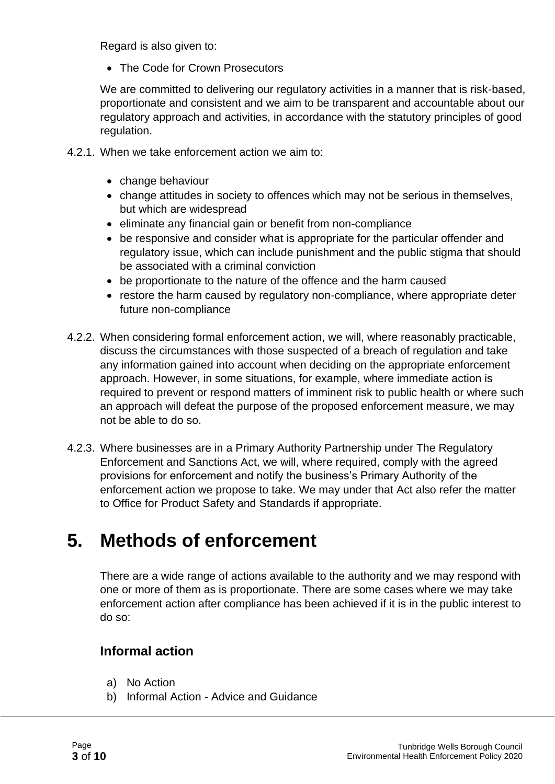Regard is also given to:

• The Code for Crown Prosecutors

We are committed to delivering our regulatory activities in a manner that is risk-based, proportionate and consistent and we aim to be transparent and accountable about our regulatory approach and activities, in accordance with the statutory principles of good regulation.

- 4.2.1. When we take enforcement action we aim to:
	- change behaviour
	- change attitudes in society to offences which may not be serious in themselves, but which are widespread
	- eliminate any financial gain or benefit from non-compliance
	- be responsive and consider what is appropriate for the particular offender and regulatory issue, which can include punishment and the public stigma that should be associated with a criminal conviction
	- be proportionate to the nature of the offence and the harm caused
	- restore the harm caused by regulatory non-compliance, where appropriate deter future non-compliance
- 4.2.2. When considering formal enforcement action, we will, where reasonably practicable, discuss the circumstances with those suspected of a breach of regulation and take any information gained into account when deciding on the appropriate enforcement approach. However, in some situations, for example, where immediate action is required to prevent or respond matters of imminent risk to public health or where such an approach will defeat the purpose of the proposed enforcement measure, we may not be able to do so.
- 4.2.3. Where businesses are in a Primary Authority Partnership under The Regulatory Enforcement and Sanctions Act, we will, where required, comply with the agreed provisions for enforcement and notify the business's Primary Authority of the enforcement action we propose to take. We may under that Act also refer the matter to Office for Product Safety and Standards if appropriate.

## **5. Methods of enforcement**

There are a wide range of actions available to the authority and we may respond with one or more of them as is proportionate. There are some cases where we may take enforcement action after compliance has been achieved if it is in the public interest to do so:

#### **Informal action**

- a) No Action
- b) Informal Action Advice and Guidance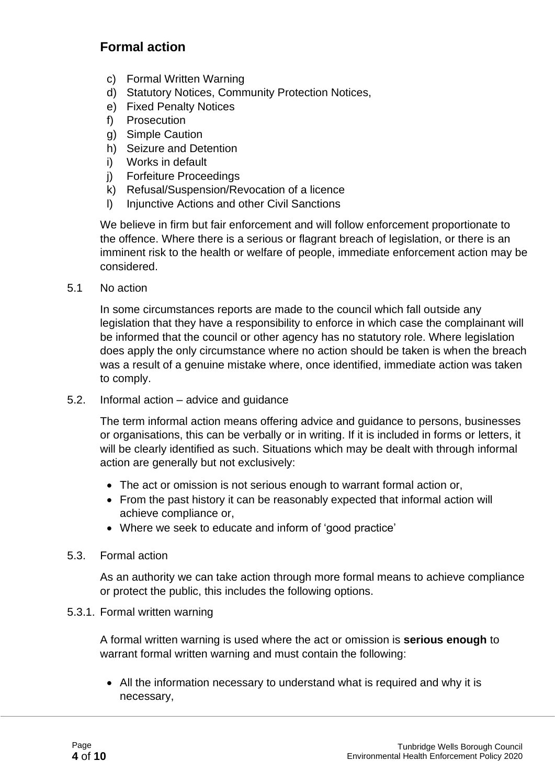#### **Formal action**

- c) Formal Written Warning
- d) Statutory Notices, Community Protection Notices,
- e) Fixed Penalty Notices
- f) Prosecution
- g) Simple Caution
- h) Seizure and Detention
- i) Works in default
- j) Forfeiture Proceedings
- k) Refusal/Suspension/Revocation of a licence
- l) Injunctive Actions and other Civil Sanctions

We believe in firm but fair enforcement and will follow enforcement proportionate to the offence. Where there is a serious or flagrant breach of legislation, or there is an imminent risk to the health or welfare of people, immediate enforcement action may be considered.

5.1 No action

In some circumstances reports are made to the council which fall outside any legislation that they have a responsibility to enforce in which case the complainant will be informed that the council or other agency has no statutory role. Where legislation does apply the only circumstance where no action should be taken is when the breach was a result of a genuine mistake where, once identified, immediate action was taken to comply.

5.2. Informal action – advice and guidance

The term informal action means offering advice and guidance to persons, businesses or organisations, this can be verbally or in writing. If it is included in forms or letters, it will be clearly identified as such. Situations which may be dealt with through informal action are generally but not exclusively:

- The act or omission is not serious enough to warrant formal action or,
- From the past history it can be reasonably expected that informal action will achieve compliance or,
- Where we seek to educate and inform of 'good practice'

#### 5.3. Formal action

As an authority we can take action through more formal means to achieve compliance or protect the public, this includes the following options.

#### 5.3.1. Formal written warning

A formal written warning is used where the act or omission is **serious enough** to warrant formal written warning and must contain the following:

• All the information necessary to understand what is required and why it is necessary,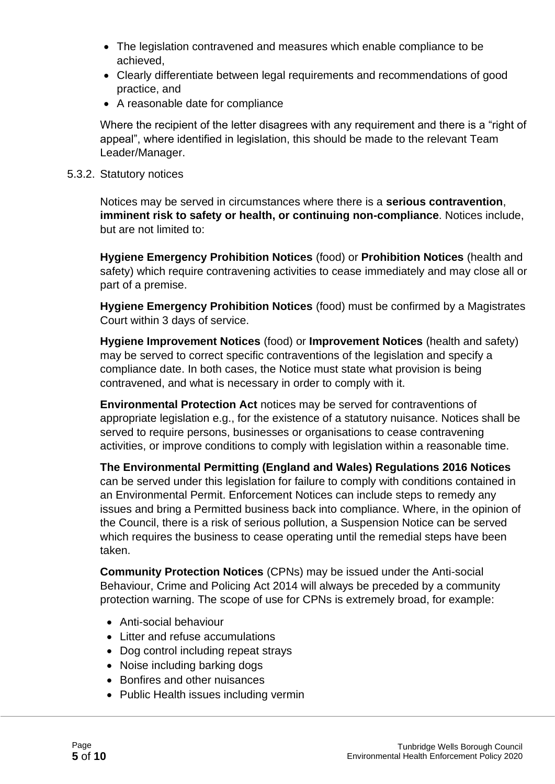- The legislation contravened and measures which enable compliance to be achieved,
- Clearly differentiate between legal requirements and recommendations of good practice, and
- A reasonable date for compliance

Where the recipient of the letter disagrees with any requirement and there is a "right of appeal", where identified in legislation, this should be made to the relevant Team Leader/Manager.

#### 5.3.2. Statutory notices

Notices may be served in circumstances where there is a **serious contravention**, **imminent risk to safety or health, or continuing non-compliance**. Notices include, but are not limited to:

**Hygiene Emergency Prohibition Notices** (food) or **Prohibition Notices** (health and safety) which require contravening activities to cease immediately and may close all or part of a premise.

**Hygiene Emergency Prohibition Notices** (food) must be confirmed by a Magistrates Court within 3 days of service.

**Hygiene Improvement Notices** (food) or **Improvement Notices** (health and safety) may be served to correct specific contraventions of the legislation and specify a compliance date. In both cases, the Notice must state what provision is being contravened, and what is necessary in order to comply with it.

**Environmental Protection Act** notices may be served for contraventions of appropriate legislation e.g., for the existence of a statutory nuisance. Notices shall be served to require persons, businesses or organisations to cease contravening activities, or improve conditions to comply with legislation within a reasonable time.

**The Environmental Permitting (England and Wales) Regulations 2016 Notices** can be served under this legislation for failure to comply with conditions contained in an Environmental Permit. Enforcement Notices can include steps to remedy any issues and bring a Permitted business back into compliance. Where, in the opinion of the Council, there is a risk of serious pollution, a Suspension Notice can be served which requires the business to cease operating until the remedial steps have been taken.

**Community Protection Notices** (CPNs) may be issued under the Anti-social Behaviour, Crime and Policing Act 2014 will always be preceded by a community protection warning. The scope of use for CPNs is extremely broad, for example:

- Anti-social behaviour
- Litter and refuse accumulations
- Dog control including repeat strays
- Noise including barking dogs
- Bonfires and other nuisances
- Public Health issues including vermin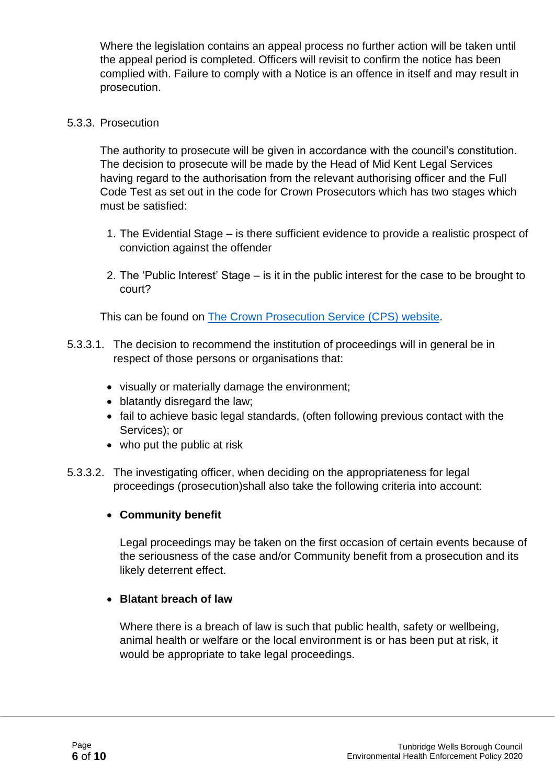Where the legislation contains an appeal process no further action will be taken until the appeal period is completed. Officers will revisit to confirm the notice has been complied with. Failure to comply with a Notice is an offence in itself and may result in prosecution.

#### 5.3.3. Prosecution

The authority to prosecute will be given in accordance with the council's constitution. The decision to prosecute will be made by the Head of Mid Kent Legal Services having regard to the authorisation from the relevant authorising officer and the Full Code Test as set out in the code for Crown Prosecutors which has two stages which must be satisfied:

- 1. The Evidential Stage is there sufficient evidence to provide a realistic prospect of conviction against the offender
- 2. The 'Public Interest' Stage is it in the public interest for the case to be brought to court?

This can be found on [The Crown Prosecution](https://www.cps.gov.uk/publication/code-crown-prosecutors) Service (CPS) website.

- 5.3.3.1. The decision to recommend the institution of proceedings will in general be in respect of those persons or organisations that:
	- visually or materially damage the environment;
	- blatantly disregard the law;
	- fail to achieve basic legal standards, (often following previous contact with the Services); or
	- who put the public at risk
- 5.3.3.2. The investigating officer, when deciding on the appropriateness for legal proceedings (prosecution)shall also take the following criteria into account:

#### • **Community benefit**

Legal proceedings may be taken on the first occasion of certain events because of the seriousness of the case and/or Community benefit from a prosecution and its likely deterrent effect.

#### • **Blatant breach of law**

Where there is a breach of law is such that public health, safety or wellbeing, animal health or welfare or the local environment is or has been put at risk, it would be appropriate to take legal proceedings.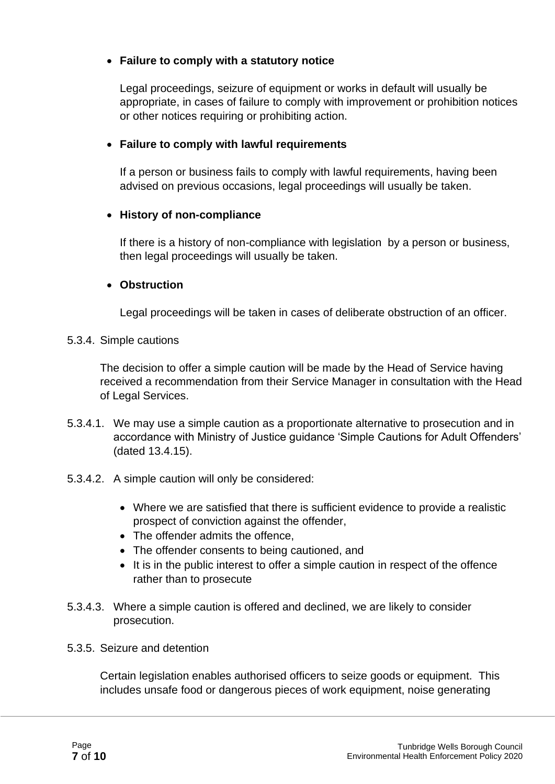#### • **Failure to comply with a statutory notice**

Legal proceedings, seizure of equipment or works in default will usually be appropriate, in cases of failure to comply with improvement or prohibition notices or other notices requiring or prohibiting action.

#### • **Failure to comply with lawful requirements**

If a person or business fails to comply with lawful requirements, having been advised on previous occasions, legal proceedings will usually be taken.

#### • **History of non-compliance**

If there is a history of non-compliance with legislation by a person or business, then legal proceedings will usually be taken.

#### • **Obstruction**

Legal proceedings will be taken in cases of deliberate obstruction of an officer.

5.3.4. Simple cautions

The decision to offer a simple caution will be made by the Head of Service having received a recommendation from their Service Manager in consultation with the Head of Legal Services.

- 5.3.4.1. We may use a simple caution as a proportionate alternative to prosecution and in accordance with Ministry of Justice guidance 'Simple Cautions for Adult Offenders' (dated 13.4.15).
- 5.3.4.2. A simple caution will only be considered:
	- Where we are satisfied that there is sufficient evidence to provide a realistic prospect of conviction against the offender,
	- The offender admits the offence.
	- The offender consents to being cautioned, and
	- It is in the public interest to offer a simple caution in respect of the offence rather than to prosecute
- 5.3.4.3. Where a simple caution is offered and declined, we are likely to consider prosecution.
- 5.3.5. Seizure and detention

Certain legislation enables authorised officers to seize goods or equipment. This includes unsafe food or dangerous pieces of work equipment, noise generating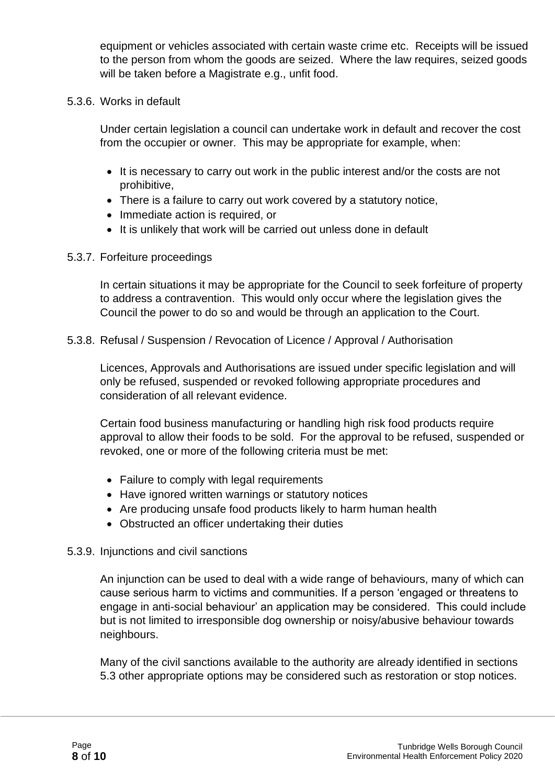equipment or vehicles associated with certain waste crime etc. Receipts will be issued to the person from whom the goods are seized. Where the law requires, seized goods will be taken before a Magistrate e.g., unfit food.

#### 5.3.6. Works in default

Under certain legislation a council can undertake work in default and recover the cost from the occupier or owner. This may be appropriate for example, when:

- It is necessary to carry out work in the public interest and/or the costs are not prohibitive,
- There is a failure to carry out work covered by a statutory notice,
- Immediate action is required, or
- It is unlikely that work will be carried out unless done in default

#### 5.3.7. Forfeiture proceedings

In certain situations it may be appropriate for the Council to seek forfeiture of property to address a contravention. This would only occur where the legislation gives the Council the power to do so and would be through an application to the Court.

5.3.8. Refusal / Suspension / Revocation of Licence / Approval / Authorisation

Licences, Approvals and Authorisations are issued under specific legislation and will only be refused, suspended or revoked following appropriate procedures and consideration of all relevant evidence.

Certain food business manufacturing or handling high risk food products require approval to allow their foods to be sold. For the approval to be refused, suspended or revoked, one or more of the following criteria must be met:

- Failure to comply with legal requirements
- Have ignored written warnings or statutory notices
- Are producing unsafe food products likely to harm human health
- Obstructed an officer undertaking their duties

#### 5.3.9. Injunctions and civil sanctions

An injunction can be used to deal with a wide range of behaviours, many of which can cause serious harm to victims and communities. If a person 'engaged or threatens to engage in anti-social behaviour' an application may be considered. This could include but is not limited to irresponsible dog ownership or noisy/abusive behaviour towards neighbours.

Many of the civil sanctions available to the authority are already identified in sections 5.3 other appropriate options may be considered such as restoration or stop notices.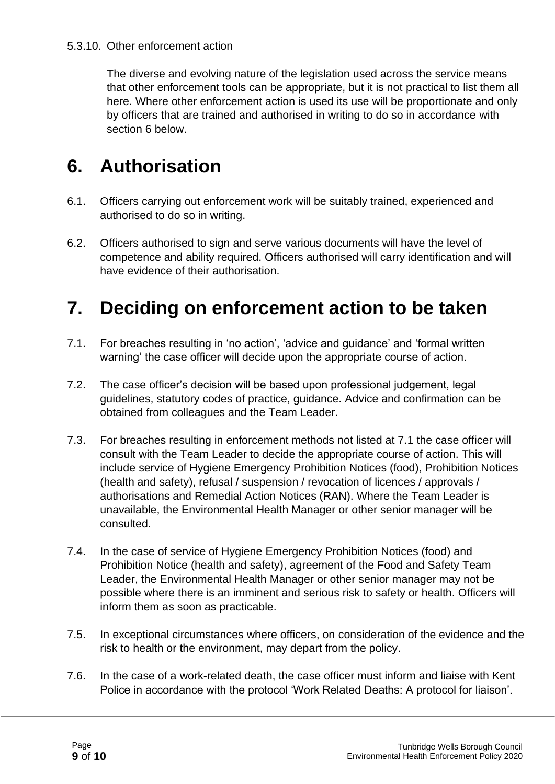#### 5.3.10. Other enforcement action

The diverse and evolving nature of the legislation used across the service means that other enforcement tools can be appropriate, but it is not practical to list them all here. Where other enforcement action is used its use will be proportionate and only by officers that are trained and authorised in writing to do so in accordance with section 6 below.

### **6. Authorisation**

- 6.1. Officers carrying out enforcement work will be suitably trained, experienced and authorised to do so in writing.
- 6.2. Officers authorised to sign and serve various documents will have the level of competence and ability required. Officers authorised will carry identification and will have evidence of their authorisation.

### **7. Deciding on enforcement action to be taken**

- 7.1. For breaches resulting in 'no action', 'advice and guidance' and 'formal written warning' the case officer will decide upon the appropriate course of action.
- 7.2. The case officer's decision will be based upon professional judgement, legal guidelines, statutory codes of practice, guidance. Advice and confirmation can be obtained from colleagues and the Team Leader.
- 7.3. For breaches resulting in enforcement methods not listed at 7.1 the case officer will consult with the Team Leader to decide the appropriate course of action. This will include service of Hygiene Emergency Prohibition Notices (food), Prohibition Notices (health and safety), refusal / suspension / revocation of licences / approvals / authorisations and Remedial Action Notices (RAN). Where the Team Leader is unavailable, the Environmental Health Manager or other senior manager will be consulted.
- 7.4. In the case of service of Hygiene Emergency Prohibition Notices (food) and Prohibition Notice (health and safety), agreement of the Food and Safety Team Leader, the Environmental Health Manager or other senior manager may not be possible where there is an imminent and serious risk to safety or health. Officers will inform them as soon as practicable.
- 7.5. In exceptional circumstances where officers, on consideration of the evidence and the risk to health or the environment, may depart from the policy.
- 7.6. In the case of a work-related death, the case officer must inform and liaise with Kent Police in accordance with the protocol 'Work Related Deaths: A protocol for liaison'.